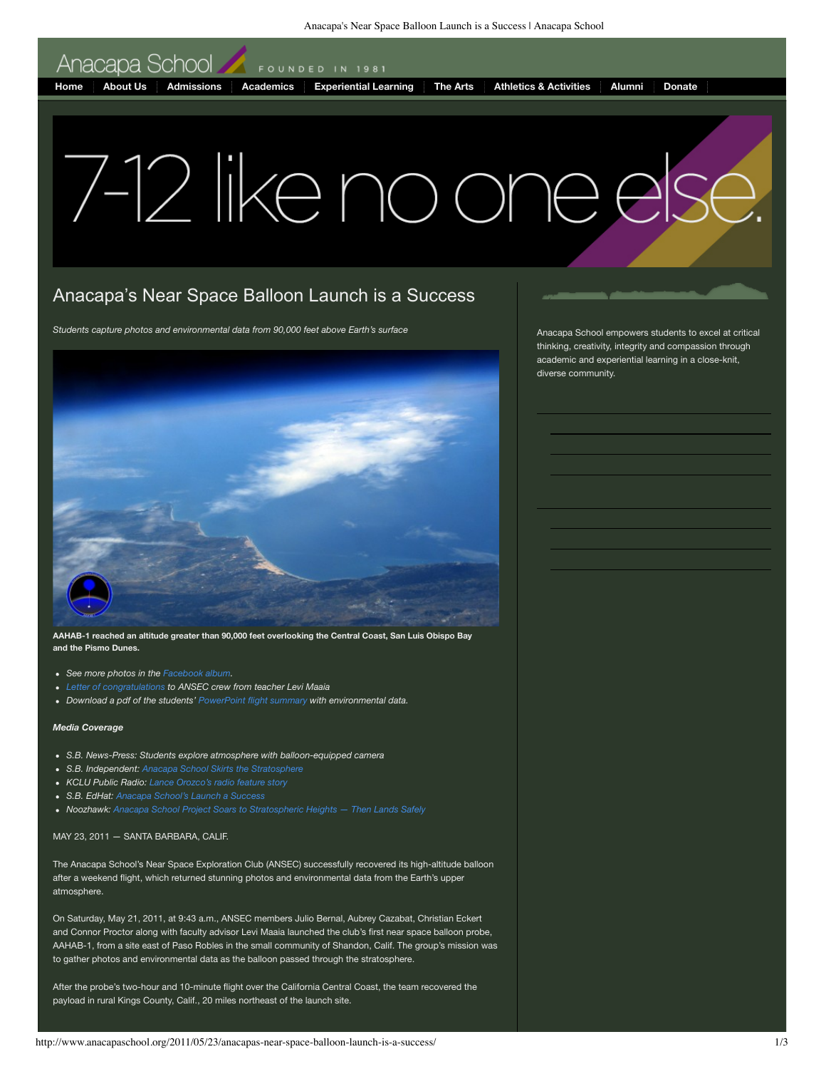Anacapa's Near Space Balloon Launch is a Success | Anacapa School

Anacapa School

FOUNDED IN 1981

**Home About Us Admissions Academics Experiential Learning The Arts Athletics & Activities Alumni Donate**

## 7-12 like no one o

## Anacapa's Near Space Balloon Launch is a Success

*Students capture photos and environmental data from 90,000 feet above Earth's surface*



**AAHAB-1 reached an altitude greater than 90,000 feet overlooking the Central Coast, San Luis Obispo Bay and the Pismo Dunes.**

- *See more photos in the Facebook album.*
- *Letter of congratulations to ANSEC crew from teacher Levi Maaia*
- *Download a pdf of the students' PowerPoint flight summary with environmental data.*

## *Media Coverage*

- *S.B. News-Press: Students explore atmosphere with balloon-equipped camera*
- *S.B. Independent: Anacapa School Skirts the Stratosphere*
- *KCLU Public Radio: Lance Orozco's radio feature story*
- *S.B. EdHat: Anacapa School's Launch a Success*
- *Noozhawk: Anacapa School Project Soars to Stratospheric Heights Then Lands Safely*

## MAY 23, 2011 — SANTA BARBARA, CALIF.

The Anacapa School's Near Space Exploration Club (ANSEC) successfully recovered its high-altitude balloon after a weekend flight, which returned stunning photos and environmental data from the Earth's upper atmosphere.

On Saturday, May 21, 2011, at 9:43 a.m., ANSEC members Julio Bernal, Aubrey Cazabat, Christian Eckert and Connor Proctor along with faculty advisor Levi Maaia launched the club's first near space balloon probe, AAHAB-1, from a site east of Paso Robles in the small community of Shandon, Calif. The group's mission was to gather photos and environmental data as the balloon passed through the stratosphere.

After the probe's two-hour and 10-minute flight over the California Central Coast, the team recovered the payload in rural Kings County, Calif., 20 miles northeast of the launch site.

Anacapa School empowers students to excel at critical thinking, creativity, integrity and compassion through academic and experiential learning in a close-knit, diverse community.